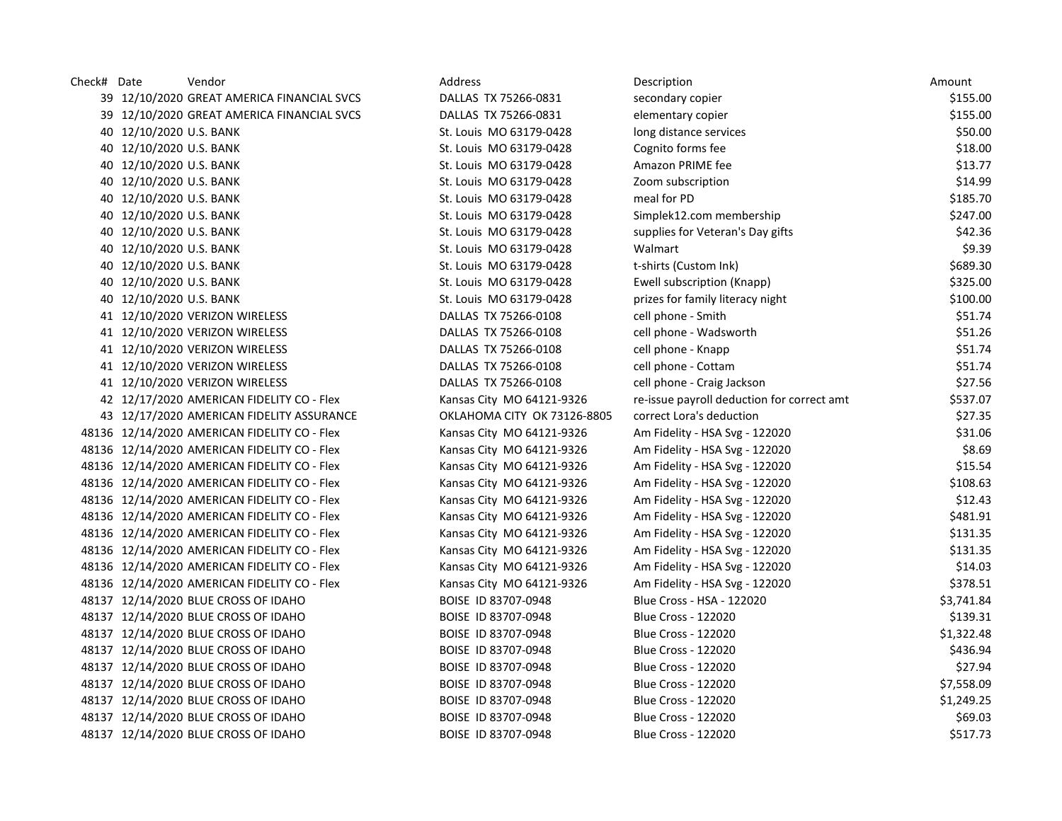| Check# Date |                         | Vendor                                       | Address                     | Description                                | Amount     |
|-------------|-------------------------|----------------------------------------------|-----------------------------|--------------------------------------------|------------|
|             |                         | 39 12/10/2020 GREAT AMERICA FINANCIAL SVCS   | DALLAS TX 75266-0831        | secondary copier                           | \$155.00   |
|             |                         | 39 12/10/2020 GREAT AMERICA FINANCIAL SVCS   | DALLAS TX 75266-0831        | elementary copier                          | \$155.00   |
|             | 40 12/10/2020 U.S. BANK |                                              | St. Louis MO 63179-0428     | long distance services                     | \$50.00    |
|             | 40 12/10/2020 U.S. BANK |                                              | St. Louis MO 63179-0428     | Cognito forms fee                          | \$18.00    |
|             | 40 12/10/2020 U.S. BANK |                                              | St. Louis MO 63179-0428     | Amazon PRIME fee                           | \$13.77    |
|             | 40 12/10/2020 U.S. BANK |                                              | St. Louis MO 63179-0428     | Zoom subscription                          | \$14.99    |
|             | 40 12/10/2020 U.S. BANK |                                              | St. Louis MO 63179-0428     | meal for PD                                | \$185.70   |
|             | 40 12/10/2020 U.S. BANK |                                              | St. Louis MO 63179-0428     | Simplek12.com membership                   | \$247.00   |
|             | 40 12/10/2020 U.S. BANK |                                              | St. Louis MO 63179-0428     | supplies for Veteran's Day gifts           | \$42.36    |
|             | 40 12/10/2020 U.S. BANK |                                              | St. Louis MO 63179-0428     | Walmart                                    | \$9.39     |
|             | 40 12/10/2020 U.S. BANK |                                              | St. Louis MO 63179-0428     | t-shirts (Custom Ink)                      | \$689.30   |
|             | 40 12/10/2020 U.S. BANK |                                              | St. Louis MO 63179-0428     | Ewell subscription (Knapp)                 | \$325.00   |
|             | 40 12/10/2020 U.S. BANK |                                              | St. Louis MO 63179-0428     | prizes for family literacy night           | \$100.00   |
|             |                         | 41 12/10/2020 VERIZON WIRELESS               | DALLAS TX 75266-0108        | cell phone - Smith                         | \$51.74    |
|             |                         | 41 12/10/2020 VERIZON WIRELESS               | DALLAS TX 75266-0108        | cell phone - Wadsworth                     | \$51.26    |
|             |                         | 41 12/10/2020 VERIZON WIRELESS               | DALLAS TX 75266-0108        | cell phone - Knapp                         | \$51.74    |
|             |                         | 41 12/10/2020 VERIZON WIRELESS               | DALLAS TX 75266-0108        | cell phone - Cottam                        | \$51.74    |
|             |                         | 41 12/10/2020 VERIZON WIRELESS               | DALLAS TX 75266-0108        | cell phone - Craig Jackson                 | \$27.56    |
|             |                         | 42 12/17/2020 AMERICAN FIDELITY CO - Flex    | Kansas City MO 64121-9326   | re-issue payroll deduction for correct amt | \$537.07   |
|             |                         | 43 12/17/2020 AMERICAN FIDELITY ASSURANCE    | OKLAHOMA CITY OK 73126-8805 | correct Lora's deduction                   | \$27.35    |
|             |                         | 48136 12/14/2020 AMERICAN FIDELITY CO - Flex | Kansas City MO 64121-9326   | Am Fidelity - HSA Svg - 122020             | \$31.06    |
|             |                         | 48136 12/14/2020 AMERICAN FIDELITY CO - Flex | Kansas City MO 64121-9326   | Am Fidelity - HSA Svg - 122020             | \$8.69     |
|             |                         | 48136 12/14/2020 AMERICAN FIDELITY CO - Flex | Kansas City MO 64121-9326   | Am Fidelity - HSA Svg - 122020             | \$15.54    |
|             |                         | 48136 12/14/2020 AMERICAN FIDELITY CO - Flex | Kansas City MO 64121-9326   | Am Fidelity - HSA Svg - 122020             | \$108.63   |
|             |                         | 48136 12/14/2020 AMERICAN FIDELITY CO - Flex | Kansas City MO 64121-9326   | Am Fidelity - HSA Svg - 122020             | \$12.43    |
|             |                         | 48136 12/14/2020 AMERICAN FIDELITY CO - Flex | Kansas City MO 64121-9326   | Am Fidelity - HSA Svg - 122020             | \$481.91   |
|             |                         | 48136 12/14/2020 AMERICAN FIDELITY CO - Flex | Kansas City MO 64121-9326   | Am Fidelity - HSA Svg - 122020             | \$131.35   |
|             |                         | 48136 12/14/2020 AMERICAN FIDELITY CO - Flex | Kansas City MO 64121-9326   | Am Fidelity - HSA Svg - 122020             | \$131.35   |
|             |                         | 48136 12/14/2020 AMERICAN FIDELITY CO - Flex | Kansas City MO 64121-9326   | Am Fidelity - HSA Svg - 122020             | \$14.03    |
|             |                         | 48136 12/14/2020 AMERICAN FIDELITY CO - Flex | Kansas City MO 64121-9326   | Am Fidelity - HSA Svg - 122020             | \$378.51   |
|             |                         | 48137 12/14/2020 BLUE CROSS OF IDAHO         | BOISE ID 83707-0948         | Blue Cross - HSA - 122020                  | \$3,741.84 |
|             |                         | 48137 12/14/2020 BLUE CROSS OF IDAHO         | BOISE ID 83707-0948         | <b>Blue Cross - 122020</b>                 | \$139.31   |
|             |                         | 48137 12/14/2020 BLUE CROSS OF IDAHO         | BOISE ID 83707-0948         | <b>Blue Cross - 122020</b>                 | \$1,322.48 |
|             |                         | 48137 12/14/2020 BLUE CROSS OF IDAHO         | BOISE ID 83707-0948         | Blue Cross - 122020                        | \$436.94   |
|             |                         | 48137 12/14/2020 BLUE CROSS OF IDAHO         | BOISE ID 83707-0948         | <b>Blue Cross - 122020</b>                 | \$27.94    |
|             |                         | 48137 12/14/2020 BLUE CROSS OF IDAHO         | BOISE ID 83707-0948         | <b>Blue Cross - 122020</b>                 | \$7,558.09 |
|             |                         | 48137 12/14/2020 BLUE CROSS OF IDAHO         | BOISE ID 83707-0948         | <b>Blue Cross - 122020</b>                 | \$1,249.25 |
|             |                         | 48137 12/14/2020 BLUE CROSS OF IDAHO         | BOISE ID 83707-0948         | <b>Blue Cross - 122020</b>                 | \$69.03    |
|             |                         | 48137 12/14/2020 BLUE CROSS OF IDAHO         | BOISE ID 83707-0948         | <b>Blue Cross - 122020</b>                 | \$517.73   |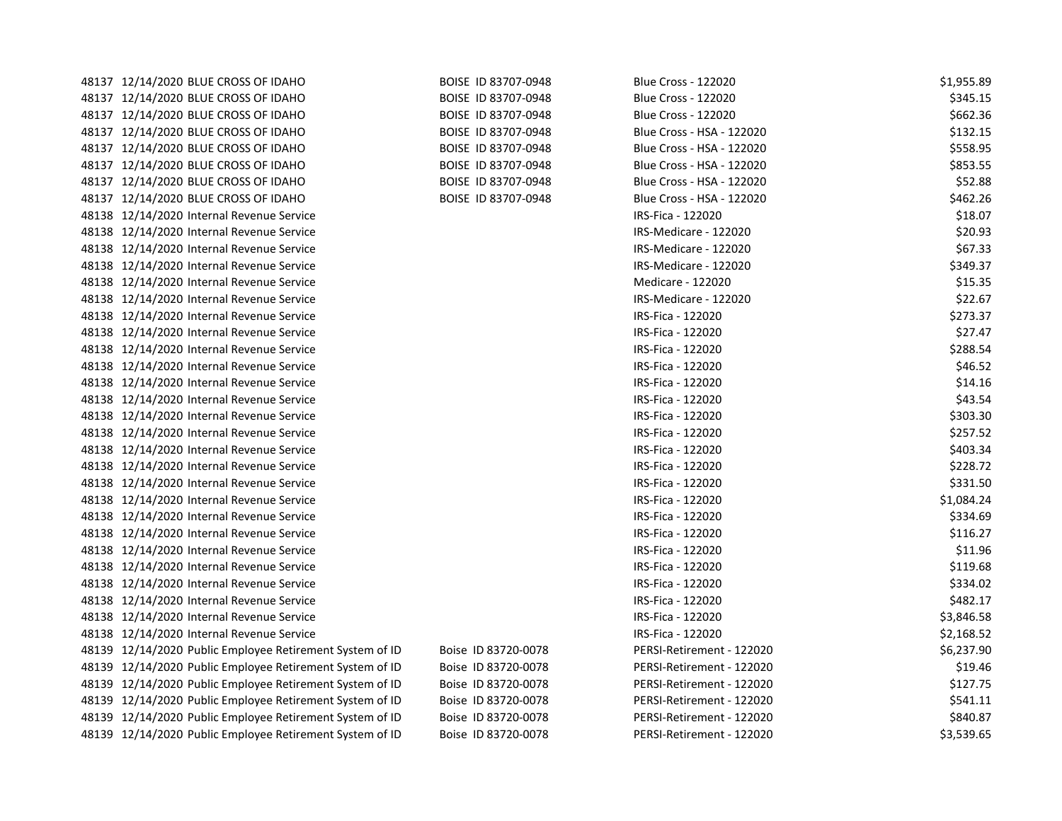| 48137 12/14/2020 BLUE CROSS OF IDAHO                     | BOISE ID 83707-0948 | <b>Blue Cross - 122020</b> | \$1,955.89 |
|----------------------------------------------------------|---------------------|----------------------------|------------|
| 48137 12/14/2020 BLUE CROSS OF IDAHO                     | BOISE ID 83707-0948 | <b>Blue Cross - 122020</b> | \$345.15   |
| 48137 12/14/2020 BLUE CROSS OF IDAHO                     | BOISE ID 83707-0948 | <b>Blue Cross - 122020</b> | \$662.36   |
| 48137 12/14/2020 BLUE CROSS OF IDAHO                     | BOISE ID 83707-0948 | Blue Cross - HSA - 122020  | \$132.15   |
| 48137 12/14/2020 BLUE CROSS OF IDAHO                     | BOISE ID 83707-0948 | Blue Cross - HSA - 122020  | \$558.95   |
| 48137 12/14/2020 BLUE CROSS OF IDAHO                     | BOISE ID 83707-0948 | Blue Cross - HSA - 122020  | \$853.55   |
| 48137 12/14/2020 BLUE CROSS OF IDAHO                     | BOISE ID 83707-0948 | Blue Cross - HSA - 122020  | \$52.88    |
| 48137 12/14/2020 BLUE CROSS OF IDAHO                     | BOISE ID 83707-0948 | Blue Cross - HSA - 122020  | \$462.26   |
| 48138 12/14/2020 Internal Revenue Service                |                     | IRS-Fica - 122020          | \$18.07    |
| 48138 12/14/2020 Internal Revenue Service                |                     | IRS-Medicare - 122020      | \$20.93    |
| 48138 12/14/2020 Internal Revenue Service                |                     | IRS-Medicare - 122020      | \$67.33    |
| 48138 12/14/2020 Internal Revenue Service                |                     | IRS-Medicare - 122020      | \$349.37   |
| 48138 12/14/2020 Internal Revenue Service                |                     | Medicare - 122020          | \$15.35    |
| 48138 12/14/2020 Internal Revenue Service                |                     | IRS-Medicare - 122020      | \$22.67    |
| 48138 12/14/2020 Internal Revenue Service                |                     | IRS-Fica - 122020          | \$273.37   |
| 48138 12/14/2020 Internal Revenue Service                |                     | IRS-Fica - 122020          | \$27.47    |
| 48138 12/14/2020 Internal Revenue Service                |                     | IRS-Fica - 122020          | \$288.54   |
| 48138 12/14/2020 Internal Revenue Service                |                     | IRS-Fica - 122020          | \$46.52    |
| 48138 12/14/2020 Internal Revenue Service                |                     | IRS-Fica - 122020          | \$14.16    |
| 48138 12/14/2020 Internal Revenue Service                |                     | IRS-Fica - 122020          | \$43.54    |
| 48138 12/14/2020 Internal Revenue Service                |                     | IRS-Fica - 122020          | \$303.30   |
| 48138 12/14/2020 Internal Revenue Service                |                     | IRS-Fica - 122020          | \$257.52   |
| 48138 12/14/2020 Internal Revenue Service                |                     | IRS-Fica - 122020          | \$403.34   |
| 48138 12/14/2020 Internal Revenue Service                |                     | IRS-Fica - 122020          | \$228.72   |
| 48138 12/14/2020 Internal Revenue Service                |                     | IRS-Fica - 122020          | \$331.50   |
| 48138 12/14/2020 Internal Revenue Service                |                     | IRS-Fica - 122020          | \$1,084.24 |
| 48138 12/14/2020 Internal Revenue Service                |                     | IRS-Fica - 122020          | \$334.69   |
| 48138 12/14/2020 Internal Revenue Service                |                     | IRS-Fica - 122020          | \$116.27   |
| 48138 12/14/2020 Internal Revenue Service                |                     | IRS-Fica - 122020          | \$11.96    |
| 48138 12/14/2020 Internal Revenue Service                |                     | IRS-Fica - 122020          | \$119.68   |
| 48138 12/14/2020 Internal Revenue Service                |                     | IRS-Fica - 122020          | \$334.02   |
| 48138 12/14/2020 Internal Revenue Service                |                     | IRS-Fica - 122020          | \$482.17   |
| 48138 12/14/2020 Internal Revenue Service                |                     | IRS-Fica - 122020          | \$3,846.58 |
| 48138 12/14/2020 Internal Revenue Service                |                     | IRS-Fica - 122020          | \$2,168.52 |
| 48139 12/14/2020 Public Employee Retirement System of ID | Boise ID 83720-0078 | PERSI-Retirement - 122020  | \$6,237.90 |
| 48139 12/14/2020 Public Employee Retirement System of ID | Boise ID 83720-0078 | PERSI-Retirement - 122020  | \$19.46    |
| 48139 12/14/2020 Public Employee Retirement System of ID | Boise ID 83720-0078 | PERSI-Retirement - 122020  | \$127.75   |
| 48139 12/14/2020 Public Employee Retirement System of ID | Boise ID 83720-0078 | PERSI-Retirement - 122020  | \$541.11   |
| 48139 12/14/2020 Public Employee Retirement System of ID | Boise ID 83720-0078 | PERSI-Retirement - 122020  | \$840.87   |
| 48139 12/14/2020 Public Employee Retirement System of ID | Boise ID 83720-0078 | PERSI-Retirement - 122020  | \$3,539.65 |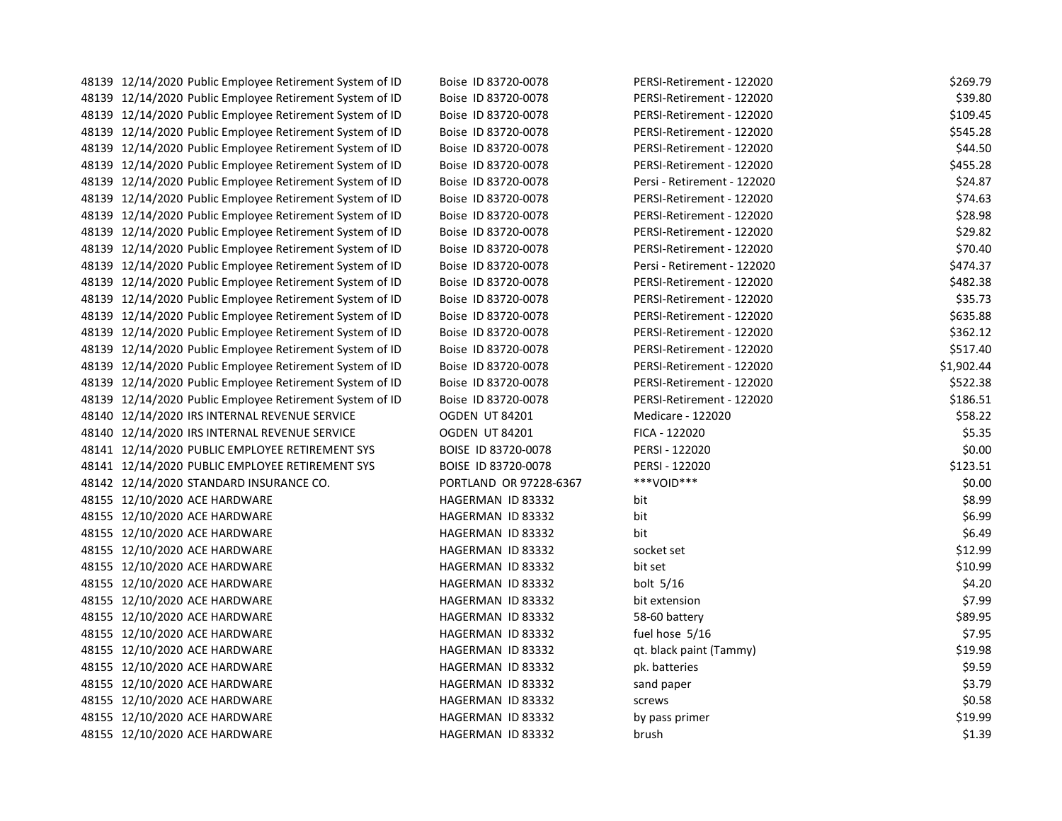| 48139 12/14/2020 Public Employee Retirement System of ID | Boise ID 83720-0078    | PERSI-Retirement - 122020   | \$269.79   |
|----------------------------------------------------------|------------------------|-----------------------------|------------|
| 48139 12/14/2020 Public Employee Retirement System of ID | Boise ID 83720-0078    | PERSI-Retirement - 122020   | \$39.80    |
| 48139 12/14/2020 Public Employee Retirement System of ID | Boise ID 83720-0078    | PERSI-Retirement - 122020   | \$109.45   |
| 48139 12/14/2020 Public Employee Retirement System of ID | Boise ID 83720-0078    | PERSI-Retirement - 122020   | \$545.28   |
| 48139 12/14/2020 Public Employee Retirement System of ID | Boise ID 83720-0078    | PERSI-Retirement - 122020   | \$44.50    |
| 48139 12/14/2020 Public Employee Retirement System of ID | Boise ID 83720-0078    | PERSI-Retirement - 122020   | \$455.28   |
| 48139 12/14/2020 Public Employee Retirement System of ID | Boise ID 83720-0078    | Persi - Retirement - 122020 | \$24.87    |
| 48139 12/14/2020 Public Employee Retirement System of ID | Boise ID 83720-0078    | PERSI-Retirement - 122020   | \$74.63    |
| 48139 12/14/2020 Public Employee Retirement System of ID | Boise ID 83720-0078    | PERSI-Retirement - 122020   | \$28.98    |
| 48139 12/14/2020 Public Employee Retirement System of ID | Boise ID 83720-0078    | PERSI-Retirement - 122020   | \$29.82    |
| 48139 12/14/2020 Public Employee Retirement System of ID | Boise ID 83720-0078    | PERSI-Retirement - 122020   | \$70.40    |
| 48139 12/14/2020 Public Employee Retirement System of ID | Boise ID 83720-0078    | Persi - Retirement - 122020 | \$474.37   |
| 48139 12/14/2020 Public Employee Retirement System of ID | Boise ID 83720-0078    | PERSI-Retirement - 122020   | \$482.38   |
| 48139 12/14/2020 Public Employee Retirement System of ID | Boise ID 83720-0078    | PERSI-Retirement - 122020   | \$35.73    |
| 48139 12/14/2020 Public Employee Retirement System of ID | Boise ID 83720-0078    | PERSI-Retirement - 122020   | \$635.88   |
| 48139 12/14/2020 Public Employee Retirement System of ID | Boise ID 83720-0078    | PERSI-Retirement - 122020   | \$362.12   |
| 48139 12/14/2020 Public Employee Retirement System of ID | Boise ID 83720-0078    | PERSI-Retirement - 122020   | \$517.40   |
| 48139 12/14/2020 Public Employee Retirement System of ID | Boise ID 83720-0078    | PERSI-Retirement - 122020   | \$1,902.44 |
| 48139 12/14/2020 Public Employee Retirement System of ID | Boise ID 83720-0078    | PERSI-Retirement - 122020   | \$522.38   |
| 48139 12/14/2020 Public Employee Retirement System of ID | Boise ID 83720-0078    | PERSI-Retirement - 122020   | \$186.51   |
| 48140 12/14/2020 IRS INTERNAL REVENUE SERVICE            | OGDEN UT 84201         | Medicare - 122020           | \$58.22    |
| 48140 12/14/2020 IRS INTERNAL REVENUE SERVICE            | <b>OGDEN UT 84201</b>  | FICA - 122020               | \$5.35     |
| 48141 12/14/2020 PUBLIC EMPLOYEE RETIREMENT SYS          | BOISE ID 83720-0078    | PERSI - 122020              | \$0.00     |
| 48141 12/14/2020 PUBLIC EMPLOYEE RETIREMENT SYS          | BOISE ID 83720-0078    | PERSI - 122020              | \$123.51   |
| 48142 12/14/2020 STANDARD INSURANCE CO.                  | PORTLAND OR 97228-6367 | ***VOID***                  | \$0.00     |
| 48155 12/10/2020 ACE HARDWARE                            | HAGERMAN ID 83332      | bit                         | \$8.99     |
| 48155 12/10/2020 ACE HARDWARE                            | HAGERMAN ID 83332      | bit                         | \$6.99     |
| 48155 12/10/2020 ACE HARDWARE                            | HAGERMAN ID 83332      | bit                         | \$6.49     |
| 48155 12/10/2020 ACE HARDWARE                            | HAGERMAN ID 83332      | socket set                  | \$12.99    |
| 48155 12/10/2020 ACE HARDWARE                            | HAGERMAN ID 83332      | bit set                     | \$10.99    |
| 48155 12/10/2020 ACE HARDWARE                            | HAGERMAN ID 83332      | bolt $5/16$                 | \$4.20     |
| 48155 12/10/2020 ACE HARDWARE                            | HAGERMAN ID 83332      | bit extension               | \$7.99     |
| 48155 12/10/2020 ACE HARDWARE                            | HAGERMAN ID 83332      | 58-60 battery               | \$89.95    |
| 48155 12/10/2020 ACE HARDWARE                            | HAGERMAN ID 83332      | fuel hose 5/16              | \$7.95     |
| 48155 12/10/2020 ACE HARDWARE                            | HAGERMAN ID 83332      | qt. black paint (Tammy)     | \$19.98    |
| 48155 12/10/2020 ACE HARDWARE                            | HAGERMAN ID 83332      | pk. batteries               | \$9.59     |
| 48155 12/10/2020 ACE HARDWARE                            | HAGERMAN ID 83332      | sand paper                  | \$3.79     |
| 48155 12/10/2020 ACE HARDWARE                            | HAGERMAN ID 83332      | screws                      | \$0.58     |
| 48155 12/10/2020 ACE HARDWARE                            | HAGERMAN ID 83332      | by pass primer              | \$19.99    |
| 48155 12/10/2020 ACE HARDWARE                            | HAGERMAN ID 83332      | brush                       | \$1.39     |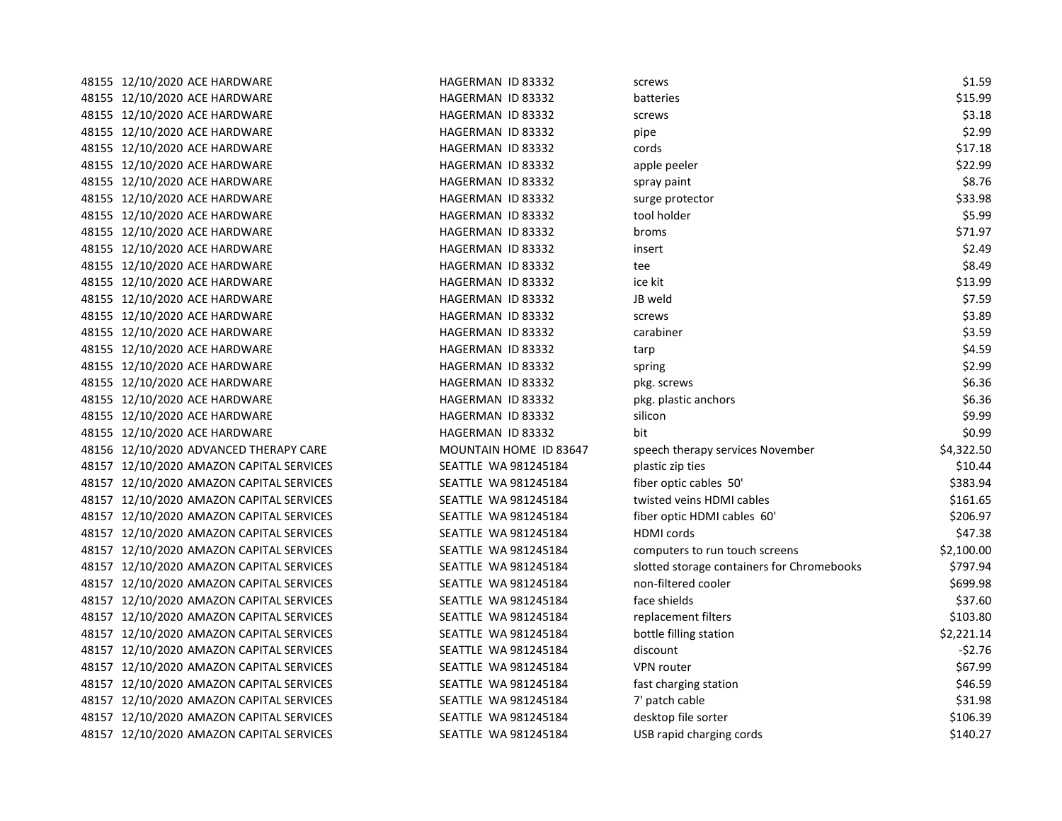| 48155 12/10/2020 ACE HARDWARE            | HAGERMAN ID 83332      | screws                                     | \$1.59     |
|------------------------------------------|------------------------|--------------------------------------------|------------|
| 48155 12/10/2020 ACE HARDWARE            | HAGERMAN ID 83332      | batteries                                  | \$15.99    |
| 48155 12/10/2020 ACE HARDWARE            | HAGERMAN ID 83332      | screws                                     | \$3.18     |
| 48155 12/10/2020 ACE HARDWARE            | HAGERMAN ID 83332      | pipe                                       | \$2.99     |
| 48155 12/10/2020 ACE HARDWARE            | HAGERMAN ID 83332      | cords                                      | \$17.18    |
| 48155 12/10/2020 ACE HARDWARE            | HAGERMAN ID 83332      | apple peeler                               | \$22.99    |
| 48155 12/10/2020 ACE HARDWARE            | HAGERMAN ID 83332      | spray paint                                | \$8.76     |
| 48155 12/10/2020 ACE HARDWARE            | HAGERMAN ID 83332      | surge protector                            | \$33.98    |
| 48155 12/10/2020 ACE HARDWARE            | HAGERMAN ID 83332      | tool holder                                | \$5.99     |
| 48155 12/10/2020 ACE HARDWARE            | HAGERMAN ID 83332      | broms                                      | \$71.97    |
| 48155 12/10/2020 ACE HARDWARE            | HAGERMAN ID 83332      | insert                                     | \$2.49     |
| 48155 12/10/2020 ACE HARDWARE            | HAGERMAN ID 83332      | tee                                        | \$8.49     |
| 48155 12/10/2020 ACE HARDWARE            | HAGERMAN ID 83332      | ice kit                                    | \$13.99    |
| 48155 12/10/2020 ACE HARDWARE            | HAGERMAN ID 83332      | JB weld                                    | \$7.59     |
| 48155 12/10/2020 ACE HARDWARE            | HAGERMAN ID 83332      | screws                                     | \$3.89     |
| 48155 12/10/2020 ACE HARDWARE            | HAGERMAN ID 83332      | carabiner                                  | \$3.59     |
| 48155 12/10/2020 ACE HARDWARE            | HAGERMAN ID 83332      | tarp                                       | \$4.59     |
| 48155 12/10/2020 ACE HARDWARE            | HAGERMAN ID 83332      | spring                                     | \$2.99     |
| 48155 12/10/2020 ACE HARDWARE            | HAGERMAN ID 83332      | pkg. screws                                | \$6.36     |
| 48155 12/10/2020 ACE HARDWARE            | HAGERMAN ID 83332      | pkg. plastic anchors                       | \$6.36     |
| 48155 12/10/2020 ACE HARDWARE            | HAGERMAN ID 83332      | silicon                                    | \$9.99     |
| 48155 12/10/2020 ACE HARDWARE            | HAGERMAN ID 83332      | bit                                        | \$0.99     |
| 48156 12/10/2020 ADVANCED THERAPY CARE   | MOUNTAIN HOME ID 83647 | speech therapy services November           | \$4,322.50 |
| 48157 12/10/2020 AMAZON CAPITAL SERVICES | SEATTLE WA 981245184   | plastic zip ties                           | \$10.44    |
| 48157 12/10/2020 AMAZON CAPITAL SERVICES | SEATTLE WA 981245184   | fiber optic cables 50'                     | \$383.94   |
| 48157 12/10/2020 AMAZON CAPITAL SERVICES | SEATTLE WA 981245184   | twisted veins HDMI cables                  | \$161.65   |
| 48157 12/10/2020 AMAZON CAPITAL SERVICES | SEATTLE WA 981245184   | fiber optic HDMI cables 60'                | \$206.97   |
| 48157 12/10/2020 AMAZON CAPITAL SERVICES | SEATTLE WA 981245184   | HDMI cords                                 | \$47.38    |
| 48157 12/10/2020 AMAZON CAPITAL SERVICES | SEATTLE WA 981245184   | computers to run touch screens             | \$2,100.00 |
| 48157 12/10/2020 AMAZON CAPITAL SERVICES | SEATTLE WA 981245184   | slotted storage containers for Chromebooks | \$797.94   |
| 48157 12/10/2020 AMAZON CAPITAL SERVICES | SEATTLE WA 981245184   | non-filtered cooler                        | \$699.98   |
| 48157 12/10/2020 AMAZON CAPITAL SERVICES | SEATTLE WA 981245184   | face shields                               | \$37.60    |
| 48157 12/10/2020 AMAZON CAPITAL SERVICES | SEATTLE WA 981245184   | replacement filters                        | \$103.80   |
| 48157 12/10/2020 AMAZON CAPITAL SERVICES | SEATTLE WA 981245184   | bottle filling station                     | \$2,221.14 |
| 48157 12/10/2020 AMAZON CAPITAL SERVICES | SEATTLE WA 981245184   | discount                                   | $-52.76$   |
| 48157 12/10/2020 AMAZON CAPITAL SERVICES | SEATTLE WA 981245184   | <b>VPN</b> router                          | \$67.99    |
| 48157 12/10/2020 AMAZON CAPITAL SERVICES | SEATTLE WA 981245184   | fast charging station                      | \$46.59    |
| 48157 12/10/2020 AMAZON CAPITAL SERVICES | SEATTLE WA 981245184   | 7' patch cable                             | \$31.98    |
| 48157 12/10/2020 AMAZON CAPITAL SERVICES | SEATTLE WA 981245184   | desktop file sorter                        | \$106.39   |
| 48157 12/10/2020 AMAZON CAPITAL SERVICES | SEATTLE WA 981245184   | USB rapid charging cords                   | \$140.27   |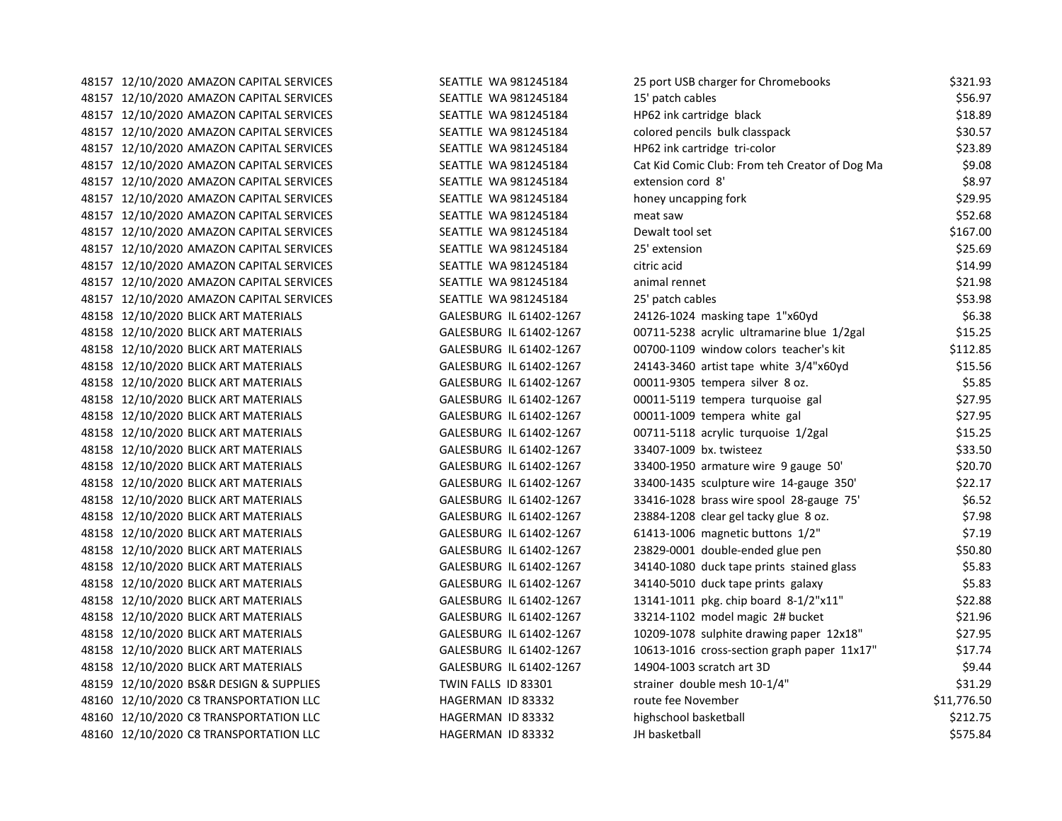48157 12/10/2020 AMAZON CAPITAL SERVICES SEATTLE WA 981245184 25 48157 12/10/2020 AMAZON CAPITAL SERVICES SEATTLE WA 981245184 48157 12/10/2020 AMAZON CAPITAL SERVICES SEATTLE WA 981245184 HP62 inc 48157 12/10/2020 AMAZON CAPITAL SERVICES SEATTLE WA 981245184 colored pencils bulk class 48157 12/10/2020 AMAZON CAPITAL SERVICES SEATTLE WA 981245184 HP6 48157 12/10/2020 AMAZON CAPITAL SERVICES SEATTLE WA 981245184 CAT COMIC COMIC COMIC COMIC COMIC COMIC COMIC CO 48157 12/10/2020 AMAZON CAPITAL SERVICES SEATTLE WA 981245184 Extension condition condition condition correction correction of the 8157 and 81245184 48157 12/10/2020 AMAZON CAPITAL SERVICES SEATTLE WA 981245184 http:// 48157 12/10/2020 AMAZON CAPITAL SERVICES SEATTLE WA 981245184 meat saw \$52.688 48157 12/10/2020 AMAZON CAPITAL SERVICES SEATTLE WA 981245184 Dewalt to the SHATTLE SERVICES 48157 12/10/2020 AMAZON CAPITAL SERVICES SEATTLE WA 981245184 25.59 48157 12/10/2020 AMAZON CAPITAL SERVICES SEATTLE WA 981245184 citric actor 48157 12/10/2020 AMAZON CAPITAL SERVICES SEATTLE WA 981245184 and animal renne 48157 12/10/2020 AMAZON CAPITAL SERVICES SEATTLE WA 981245184 253.989 48158 12/10/2020 BLICK ART MATERIALS GALESBURG IL 61402-1267 2 48158 12/10/2020 BLICK ART MATERIALS GALESBURG IL 61402-1267 C 48158 12/10/2020 BLICK ART MATERIALS GALESBURG IL 61402-1267 00 48158 12/10/2020 BLICK ART MATERIALS GALESBURG IL 61402-1267 24143-3460 artist tape white 30 years to 30 years that 48158 12/10/2020 BLICK ART MATERIALS GALESBURG IL 61402-1267 00015 00011-03105 temperatur 8 or. \$5.95 48158 12/10/2020 BLICK ART MATERIALS GALESBURG IL 61402-1267 00011-5119 temperatura turquoise gal se 48158 12/10/2020 BLICK ART MATERIALS GALESBURG IL 61402-1267 00011-1009 00011-1009 temperatura white galaxies 48158 12/10/2020 BLICK ART MATERIALS GALESBURG IL 61402-1267 00 48158 12/10/2020 BLICK ART MATERIALS GALESBURG IL 61402-1267 3 48158 12/10/2020 BLICK ART MATERIALS GALESBURG IL 61402-1267 3 48158 12/10/2020 BLICK ART MATERIALS GALESBURG IL 61402-1267 3 48158 12/10/2020 BLICK ART MATERIALS GALESBURG IL 61402-1267 3 48158 12/10/2020 BLICK ART MATERIALS GALESBURG IL 61402-1267 23 48158 12/10/2020 BLICK ART MATERIALS GALESBURG IL 61402-1267 6 48158 12/10/2020 BLICK ART MATERIALS GALESBURG IL 61402-1267 23 48158 12/10/2020 BLICK ART MATERIALS GALESBURG IL 61402-1267 34140 48158 12/10/2020 BLICK ART MATERIALS GALESBURG IL 61402-1267 34140 48158 12/10/2020 BLICK ART MATERIALS GALESBURG IL 61402-1267 13 48158 12/10/2020 BLICK ART MATERIALS GALESBURG IL 61402-1267 3 48158 12/10/2020 BLICK ART MATERIALS GALESBURG IL 61402-1267 10209-1078 sulphite drawing paper 12x18 subprint p 48158 12/10/2020 BLICK ART MATERIALS GALESBURG IL 61402-1267 1061402 48158 12/10/2020 BLICK ART MATERIALS GALESBURG IL 61402-1267 14904-1003 scratch art 3D \$4.444 scratch art 3D \$ 48159 12/10/2020 BS&R DESIGN & SUPPLIES TWIN FALLS ID 83301 48160 12/10/2020 C8 TRANSPORTATION LLC HAGERMAN ID 83332 route 48160 12/10/2020 C8 TRANSPORTATION LLC HAGERMAN ID 83332 highschool basketball \$212.75 48160 12/10/2020 C8 TRANSPORTATION LLC HAGERMAN ID 83332

| 25 port USB charger for Chromebooks            |          | \$321.93    |
|------------------------------------------------|----------|-------------|
| 15' patch cables                               | \$56.97  |             |
| HP62 ink cartridge black                       | \$18.89  |             |
| colored pencils bulk classpack                 | \$30.57  |             |
| HP62 ink cartridge tri-color                   |          | \$23.89     |
| Cat Kid Comic Club: From teh Creator of Dog Ma |          | \$9.08      |
| extension cord 8'                              |          | \$8.97      |
| noney uncapping fork                           |          | \$29.95     |
| neat saw                                       |          | \$52.68     |
| Dewalt tool set                                |          | \$167.00    |
| 25' extension                                  |          | \$25.69     |
| citric acid                                    |          | \$14.99     |
| animal rennet                                  |          | \$21.98     |
| 25' patch cables                               |          | \$53.98     |
| 24126-1024 masking tape 1"x60yd                |          | \$6.38      |
| 00711-5238 acrylic ultramarine blue 1/2gal     |          | \$15.25     |
| 00700-1109 window colors teacher's kit         |          | \$112.85    |
| 24143-3460 artist tape white 3/4"x60yd         |          | \$15.56     |
| 00011-9305 tempera silver 8 oz.                |          | \$5.85      |
| 00011-5119 tempera turquoise gal               |          | \$27.95     |
| 00011-1009 tempera white gal                   |          | \$27.95     |
| 00711-5118 acrylic turquoise 1/2gal            |          | \$15.25     |
| 33407-1009 bx. twisteez                        |          | \$33.50     |
| 33400-1950 armature wire 9 gauge 50'           |          | \$20.70     |
| 33400-1435 sculpture wire 14-gauge 350'        |          | \$22.17     |
| 33416-1028 brass wire spool 28-gauge 75'       |          | \$6.52      |
| 23884-1208 clear gel tacky glue 8 oz.          |          | \$7.98      |
| 51413-1006 magnetic buttons 1/2"               |          | \$7.19      |
| 23829-0001 double-ended glue pen               |          | \$50.80     |
| 34140-1080 duck tape prints stained glass      |          | \$5.83      |
| 34140-5010 duck tape prints galaxy             |          | \$5.83      |
| 13141-1011 pkg. chip board 8-1/2"x11"          |          | \$22.88     |
| 33214-1102 model magic 2# bucket               |          | \$21.96     |
| 10209-1078 sulphite drawing paper 12x18"       |          | \$27.95     |
| 10613-1016 cross-section graph paper 11x17"    |          | \$17.74     |
| 14904-1003 scratch art 3D                      |          | \$9.44      |
| strainer double mesh 10-1/4"                   |          | \$31.29     |
| oute fee November                              |          | \$11,776.50 |
| nighschool basketball                          |          | \$212.75    |
| H basketball                                   | \$575.84 |             |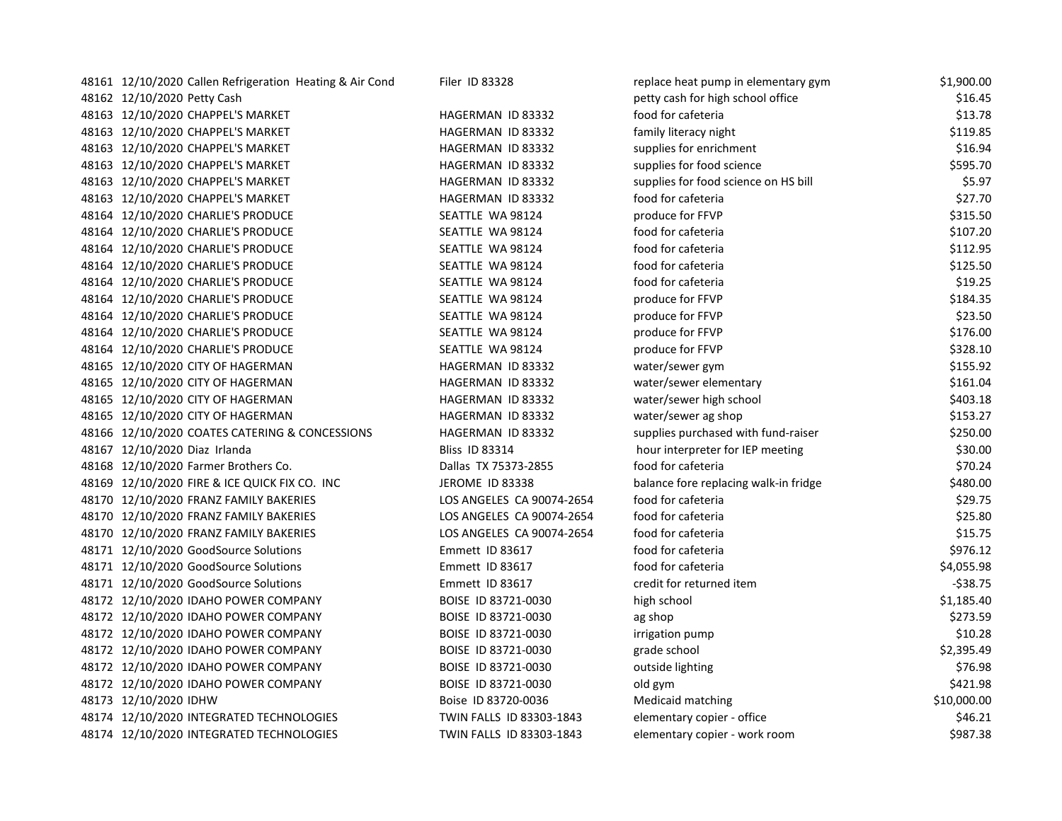| 48161 12/10/2020 Callen Refrigeration Heating & Air Cond | Filer ID 83328            | replace heat pump in elementary gym   | \$1,900.00  |
|----------------------------------------------------------|---------------------------|---------------------------------------|-------------|
| 48162 12/10/2020 Petty Cash                              |                           | petty cash for high school office     | \$16.45     |
| 48163 12/10/2020 CHAPPEL'S MARKET                        | HAGERMAN ID 83332         | food for cafeteria                    | \$13.78     |
| 48163 12/10/2020 CHAPPEL'S MARKET                        | HAGERMAN ID 83332         | family literacy night                 | \$119.85    |
| 48163 12/10/2020 CHAPPEL'S MARKET                        | HAGERMAN ID 83332         | supplies for enrichment               | \$16.94     |
| 48163 12/10/2020 CHAPPEL'S MARKET                        | HAGERMAN ID 83332         | supplies for food science             | \$595.70    |
| 48163 12/10/2020 CHAPPEL'S MARKET                        | HAGERMAN ID 83332         | supplies for food science on HS bill  | \$5.97      |
| 48163 12/10/2020 CHAPPEL'S MARKET                        | HAGERMAN ID 83332         | food for cafeteria                    | \$27.70     |
| 48164 12/10/2020 CHARLIE'S PRODUCE                       | SEATTLE WA 98124          | produce for FFVP                      | \$315.50    |
| 48164 12/10/2020 CHARLIE'S PRODUCE                       | SEATTLE WA 98124          | food for cafeteria                    | \$107.20    |
| 48164 12/10/2020 CHARLIE'S PRODUCE                       | SEATTLE WA 98124          | food for cafeteria                    | \$112.95    |
| 48164 12/10/2020 CHARLIE'S PRODUCE                       | SEATTLE WA 98124          | food for cafeteria                    | \$125.50    |
| 48164 12/10/2020 CHARLIE'S PRODUCE                       | SEATTLE WA 98124          | food for cafeteria                    | \$19.25     |
| 48164 12/10/2020 CHARLIE'S PRODUCE                       | SEATTLE WA 98124          | produce for FFVP                      | \$184.35    |
| 48164 12/10/2020 CHARLIE'S PRODUCE                       | SEATTLE WA 98124          | produce for FFVP                      | \$23.50     |
| 48164 12/10/2020 CHARLIE'S PRODUCE                       | SEATTLE WA 98124          | produce for FFVP                      | \$176.00    |
| 48164 12/10/2020 CHARLIE'S PRODUCE                       | SEATTLE WA 98124          | produce for FFVP                      | \$328.10    |
| 48165 12/10/2020 CITY OF HAGERMAN                        | HAGERMAN ID 83332         | water/sewer gym                       | \$155.92    |
| 48165 12/10/2020 CITY OF HAGERMAN                        | HAGERMAN ID 83332         | water/sewer elementary                | \$161.04    |
| 48165 12/10/2020 CITY OF HAGERMAN                        | HAGERMAN ID 83332         | water/sewer high school               | \$403.18    |
| 48165 12/10/2020 CITY OF HAGERMAN                        | HAGERMAN ID 83332         | water/sewer ag shop                   | \$153.27    |
| 48166 12/10/2020 COATES CATERING & CONCESSIONS           | HAGERMAN ID 83332         | supplies purchased with fund-raiser   | \$250.00    |
| 48167 12/10/2020 Diaz Irlanda                            | <b>Bliss ID 83314</b>     | hour interpreter for IEP meeting      | \$30.00     |
| 48168 12/10/2020 Farmer Brothers Co.                     | Dallas TX 75373-2855      | food for cafeteria                    | \$70.24     |
| 48169 12/10/2020 FIRE & ICE QUICK FIX CO. INC            | <b>JEROME ID 83338</b>    | balance fore replacing walk-in fridge | \$480.00    |
| 48170 12/10/2020 FRANZ FAMILY BAKERIES                   | LOS ANGELES CA 90074-2654 | food for cafeteria                    | \$29.75     |
| 48170 12/10/2020 FRANZ FAMILY BAKERIES                   | LOS ANGELES CA 90074-2654 | food for cafeteria                    | \$25.80     |
| 48170 12/10/2020 FRANZ FAMILY BAKERIES                   | LOS ANGELES CA 90074-2654 | food for cafeteria                    | \$15.75     |
| 48171 12/10/2020 GoodSource Solutions                    | Emmett ID 83617           | food for cafeteria                    | \$976.12    |
| 48171 12/10/2020 GoodSource Solutions                    | Emmett ID 83617           | food for cafeteria                    | \$4,055.98  |
| 48171 12/10/2020 GoodSource Solutions                    | Emmett ID 83617           | credit for returned item              | $-538.75$   |
| 48172 12/10/2020 IDAHO POWER COMPANY                     | BOISE ID 83721-0030       | high school                           | \$1,185.40  |
| 48172 12/10/2020 IDAHO POWER COMPANY                     | BOISE ID 83721-0030       | ag shop                               | \$273.59    |
| 48172 12/10/2020 IDAHO POWER COMPANY                     | BOISE ID 83721-0030       | irrigation pump                       | \$10.28     |
| 48172 12/10/2020 IDAHO POWER COMPANY                     | BOISE ID 83721-0030       | grade school                          | \$2,395.49  |
| 48172 12/10/2020 IDAHO POWER COMPANY                     | BOISE ID 83721-0030       | outside lighting                      | \$76.98     |
| 48172 12/10/2020 IDAHO POWER COMPANY                     | BOISE ID 83721-0030       | old gym                               | \$421.98    |
| 48173 12/10/2020 IDHW                                    | Boise ID 83720-0036       | Medicaid matching                     | \$10,000.00 |
| 48174 12/10/2020 INTEGRATED TECHNOLOGIES                 | TWIN FALLS ID 83303-1843  | elementary copier - office            | \$46.21     |
| 48174 12/10/2020 INTEGRATED TECHNOLOGIES                 | TWIN FALLS ID 83303-1843  | elementary copier - work room         | \$987.38    |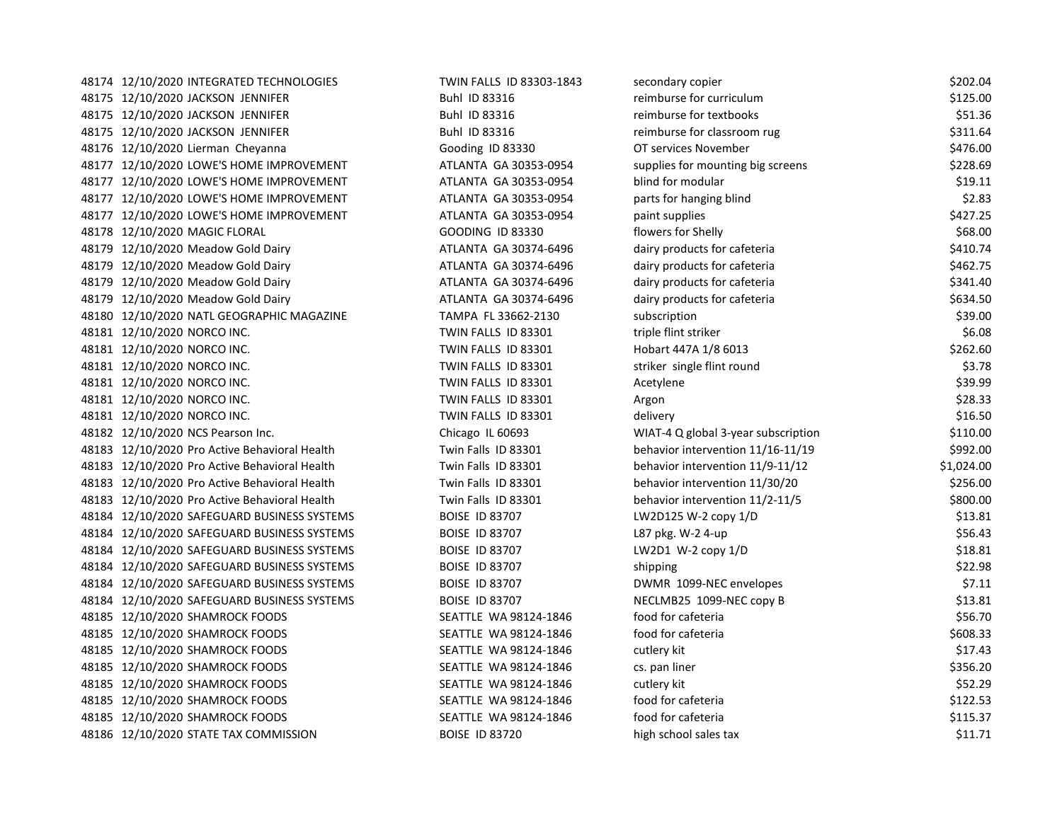| 48174 12/10/2020 INTEGRATED TECHNOLOGIES      | TWIN FALLS ID 83303-1843 | secondary copier                    | \$202.04   |
|-----------------------------------------------|--------------------------|-------------------------------------|------------|
| 48175 12/10/2020 JACKSON JENNIFER             | Buhl ID 83316            | reimburse for curriculum            | \$125.00   |
| 48175 12/10/2020 JACKSON JENNIFER             | Buhl ID 83316            | reimburse for textbooks             | \$51.36    |
| 48175 12/10/2020 JACKSON JENNIFER             | Buhl ID 83316            | reimburse for classroom rug         | \$311.64   |
| 48176 12/10/2020 Lierman Cheyanna             | Gooding ID 83330         | OT services November                | \$476.00   |
| 48177 12/10/2020 LOWE'S HOME IMPROVEMENT      | ATLANTA GA 30353-0954    | supplies for mounting big screens   | \$228.69   |
| 48177 12/10/2020 LOWE'S HOME IMPROVEMENT      | ATLANTA GA 30353-0954    | blind for modular                   | \$19.11    |
| 48177 12/10/2020 LOWE'S HOME IMPROVEMENT      | ATLANTA GA 30353-0954    | parts for hanging blind             | \$2.83     |
| 48177 12/10/2020 LOWE'S HOME IMPROVEMENT      | ATLANTA GA 30353-0954    | paint supplies                      | \$427.25   |
| 48178 12/10/2020 MAGIC FLORAL                 | <b>GOODING ID 83330</b>  | flowers for Shelly                  | \$68.00    |
| 48179 12/10/2020 Meadow Gold Dairy            | ATLANTA GA 30374-6496    | dairy products for cafeteria        | \$410.74   |
| 48179 12/10/2020 Meadow Gold Dairy            | ATLANTA GA 30374-6496    | dairy products for cafeteria        | \$462.75   |
| 48179 12/10/2020 Meadow Gold Dairy            | ATLANTA GA 30374-6496    | dairy products for cafeteria        | \$341.40   |
| 48179 12/10/2020 Meadow Gold Dairy            | ATLANTA GA 30374-6496    | dairy products for cafeteria        | \$634.50   |
| 48180 12/10/2020 NATL GEOGRAPHIC MAGAZINE     | TAMPA FL 33662-2130      | subscription                        | \$39.00    |
| 48181 12/10/2020 NORCO INC.                   | TWIN FALLS ID 83301      | triple flint striker                | \$6.08     |
| 48181 12/10/2020 NORCO INC.                   | TWIN FALLS ID 83301      | Hobart 447A 1/8 6013                | \$262.60   |
| 48181 12/10/2020 NORCO INC.                   | TWIN FALLS ID 83301      | striker single flint round          | \$3.78     |
| 48181 12/10/2020 NORCO INC.                   | TWIN FALLS ID 83301      | Acetylene                           | \$39.99    |
| 48181 12/10/2020 NORCO INC.                   | TWIN FALLS ID 83301      | Argon                               | \$28.33    |
| 48181 12/10/2020 NORCO INC.                   | TWIN FALLS ID 83301      | delivery                            | \$16.50    |
| 48182 12/10/2020 NCS Pearson Inc.             | Chicago IL 60693         | WIAT-4 Q global 3-year subscription | \$110.00   |
| 48183 12/10/2020 Pro Active Behavioral Health | Twin Falls ID 83301      | behavior intervention 11/16-11/19   | \$992.00   |
| 48183 12/10/2020 Pro Active Behavioral Health | Twin Falls ID 83301      | behavior intervention 11/9-11/12    | \$1,024.00 |
| 48183 12/10/2020 Pro Active Behavioral Health | Twin Falls ID 83301      | behavior intervention 11/30/20      | \$256.00   |
| 48183 12/10/2020 Pro Active Behavioral Health | Twin Falls ID 83301      | behavior intervention 11/2-11/5     | \$800.00   |
| 48184 12/10/2020 SAFEGUARD BUSINESS SYSTEMS   | <b>BOISE ID 83707</b>    | LW2D125 W-2 copy 1/D                | \$13.81    |
| 48184 12/10/2020 SAFEGUARD BUSINESS SYSTEMS   | <b>BOISE ID 83707</b>    | L87 pkg. W-2 4-up                   | \$56.43    |
| 48184 12/10/2020 SAFEGUARD BUSINESS SYSTEMS   | <b>BOISE ID 83707</b>    | LW2D1 W-2 copy $1/D$                | \$18.81    |
| 48184 12/10/2020 SAFEGUARD BUSINESS SYSTEMS   | BOISE ID 83707           | shipping                            | \$22.98    |
| 48184 12/10/2020 SAFEGUARD BUSINESS SYSTEMS   | <b>BOISE ID 83707</b>    | DWMR 1099-NEC envelopes             | \$7.11     |
| 48184 12/10/2020 SAFEGUARD BUSINESS SYSTEMS   | <b>BOISE ID 83707</b>    | NECLMB25 1099-NEC copy B            | \$13.81    |
| 48185 12/10/2020 SHAMROCK FOODS               | SEATTLE WA 98124-1846    | food for cafeteria                  | \$56.70    |
| 48185 12/10/2020 SHAMROCK FOODS               | SEATTLE WA 98124-1846    | food for cafeteria                  | \$608.33   |
| 48185 12/10/2020 SHAMROCK FOODS               | SEATTLE WA 98124-1846    | cutlery kit                         | \$17.43    |
| 48185 12/10/2020 SHAMROCK FOODS               | SEATTLE WA 98124-1846    | cs. pan liner                       | \$356.20   |
| 48185 12/10/2020 SHAMROCK FOODS               | SEATTLE WA 98124-1846    | cutlery kit                         | \$52.29    |
| 48185 12/10/2020 SHAMROCK FOODS               | SEATTLE WA 98124-1846    | food for cafeteria                  | \$122.53   |
| 48185 12/10/2020 SHAMROCK FOODS               | SEATTLE WA 98124-1846    | food for cafeteria                  | \$115.37   |
| 48186 12/10/2020 STATE TAX COMMISSION         | <b>BOISE ID 83720</b>    | high school sales tax               | \$11.71    |
|                                               |                          |                                     |            |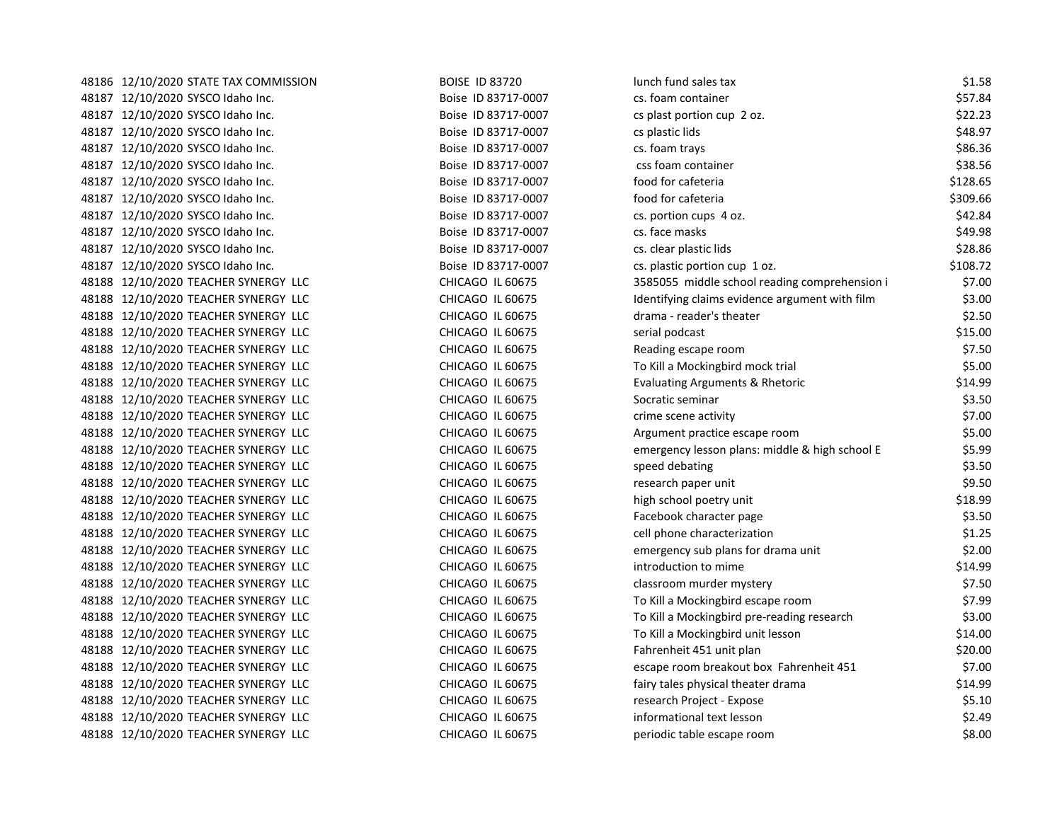| 48186 12/10/2020 STATE TAX COMMISSION | <b>BOISE ID 83720</b> | lunch fund sales tax                           | \$1.58   |
|---------------------------------------|-----------------------|------------------------------------------------|----------|
| 48187 12/10/2020 SYSCO Idaho Inc.     | Boise ID 83717-0007   | cs. foam container                             | \$57.84  |
| 48187 12/10/2020 SYSCO Idaho Inc.     | Boise ID 83717-0007   | cs plast portion cup 2 oz.                     | \$22.23  |
| 48187 12/10/2020 SYSCO Idaho Inc.     | Boise ID 83717-0007   | cs plastic lids                                | \$48.97  |
| 48187 12/10/2020 SYSCO Idaho Inc.     | Boise ID 83717-0007   | cs. foam trays                                 | \$86.36  |
| 48187 12/10/2020 SYSCO Idaho Inc.     | Boise ID 83717-0007   | css foam container                             | \$38.56  |
| 48187 12/10/2020 SYSCO Idaho Inc.     | Boise ID 83717-0007   | food for cafeteria                             | \$128.65 |
| 48187 12/10/2020 SYSCO Idaho Inc.     | Boise ID 83717-0007   | food for cafeteria                             | \$309.66 |
| 48187 12/10/2020 SYSCO Idaho Inc.     | Boise ID 83717-0007   | cs. portion cups 4 oz.                         | \$42.84  |
| 48187 12/10/2020 SYSCO Idaho Inc.     | Boise ID 83717-0007   | cs. face masks                                 | \$49.98  |
| 48187 12/10/2020 SYSCO Idaho Inc.     | Boise ID 83717-0007   | cs. clear plastic lids                         | \$28.86  |
| 48187 12/10/2020 SYSCO Idaho Inc.     | Boise ID 83717-0007   | cs. plastic portion cup 1 oz.                  | \$108.72 |
| 48188 12/10/2020 TEACHER SYNERGY LLC  | CHICAGO IL 60675      | 3585055 middle school reading comprehension i  | \$7.00   |
| 48188 12/10/2020 TEACHER SYNERGY LLC  | CHICAGO IL 60675      | Identifying claims evidence argument with film | \$3.00   |
| 48188 12/10/2020 TEACHER SYNERGY LLC  | CHICAGO IL 60675      | drama - reader's theater                       | \$2.50   |
| 48188 12/10/2020 TEACHER SYNERGY LLC  | CHICAGO IL 60675      | serial podcast                                 | \$15.00  |
| 48188 12/10/2020 TEACHER SYNERGY LLC  | CHICAGO IL 60675      | Reading escape room                            | \$7.50   |
| 48188 12/10/2020 TEACHER SYNERGY LLC  | CHICAGO IL 60675      | To Kill a Mockingbird mock trial               | \$5.00   |
| 48188 12/10/2020 TEACHER SYNERGY LLC  | CHICAGO IL 60675      | Evaluating Arguments & Rhetoric                | \$14.99  |
| 48188 12/10/2020 TEACHER SYNERGY LLC  | CHICAGO IL 60675      | Socratic seminar                               | \$3.50   |
| 48188 12/10/2020 TEACHER SYNERGY LLC  | CHICAGO IL 60675      | crime scene activity                           | \$7.00   |
| 48188 12/10/2020 TEACHER SYNERGY LLC  | CHICAGO IL 60675      | Argument practice escape room                  | \$5.00   |
| 48188 12/10/2020 TEACHER SYNERGY LLC  | CHICAGO IL 60675      | emergency lesson plans: middle & high school E | \$5.99   |
| 48188 12/10/2020 TEACHER SYNERGY LLC  | CHICAGO IL 60675      | speed debating                                 | \$3.50   |
| 48188 12/10/2020 TEACHER SYNERGY LLC  | CHICAGO IL 60675      | research paper unit                            | \$9.50   |
| 48188 12/10/2020 TEACHER SYNERGY LLC  | CHICAGO IL 60675      | high school poetry unit                        | \$18.99  |
| 48188 12/10/2020 TEACHER SYNERGY LLC  | CHICAGO IL 60675      | Facebook character page                        | \$3.50   |
| 48188 12/10/2020 TEACHER SYNERGY LLC  | CHICAGO IL 60675      | cell phone characterization                    | \$1.25   |
| 48188 12/10/2020 TEACHER SYNERGY LLC  | CHICAGO IL 60675      | emergency sub plans for drama unit             | \$2.00   |
| 48188 12/10/2020 TEACHER SYNERGY LLC  | CHICAGO IL 60675      | introduction to mime                           | \$14.99  |
| 48188 12/10/2020 TEACHER SYNERGY LLC  | CHICAGO IL 60675      | classroom murder mystery                       | \$7.50   |
| 48188 12/10/2020 TEACHER SYNERGY LLC  | CHICAGO IL 60675      | To Kill a Mockingbird escape room              | \$7.99   |
| 48188 12/10/2020 TEACHER SYNERGY LLC  | CHICAGO IL 60675      | To Kill a Mockingbird pre-reading research     | \$3.00   |
| 48188 12/10/2020 TEACHER SYNERGY LLC  | CHICAGO IL 60675      | To Kill a Mockingbird unit lesson              | \$14.00  |
| 48188 12/10/2020 TEACHER SYNERGY LLC  | CHICAGO IL 60675      | Fahrenheit 451 unit plan                       | \$20.00  |
| 48188 12/10/2020 TEACHER SYNERGY LLC  | CHICAGO IL 60675      | escape room breakout box Fahrenheit 451        | \$7.00   |
| 48188 12/10/2020 TEACHER SYNERGY LLC  | CHICAGO IL 60675      | fairy tales physical theater drama             | \$14.99  |
| 48188 12/10/2020 TEACHER SYNERGY LLC  | CHICAGO IL 60675      | research Project - Expose                      | \$5.10   |
| 48188 12/10/2020 TEACHER SYNERGY LLC  | CHICAGO IL 60675      | informational text lesson                      | \$2.49   |
| 48188 12/10/2020 TEACHER SYNERGY LLC  | CHICAGO IL 60675      | periodic table escape room                     | \$8.00   |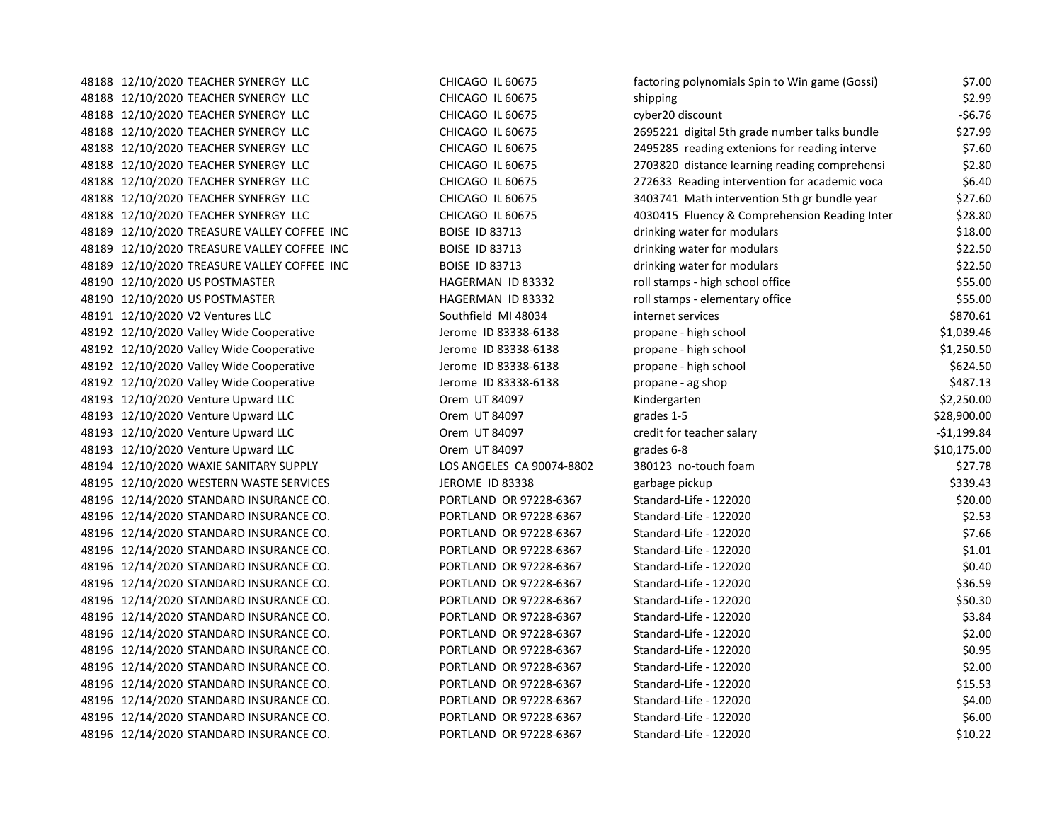| 48188 12/10/2020 TEACHER SYNERGY LLC        | CHICAGO IL 60675          | factoring polynomials Spin to Win game (Gossi) | \$7.00       |
|---------------------------------------------|---------------------------|------------------------------------------------|--------------|
| 48188 12/10/2020 TEACHER SYNERGY LLC        | CHICAGO IL 60675          | shipping                                       | \$2.99       |
| 48188 12/10/2020 TEACHER SYNERGY LLC        | CHICAGO IL 60675          | cyber20 discount                               | $-56.76$     |
| 48188 12/10/2020 TEACHER SYNERGY LLC        | CHICAGO IL 60675          | 2695221 digital 5th grade number talks bundle  | \$27.99      |
| 48188 12/10/2020 TEACHER SYNERGY LLC        | CHICAGO IL 60675          | 2495285 reading extenions for reading interve  | \$7.60       |
| 48188 12/10/2020 TEACHER SYNERGY LLC        | CHICAGO IL 60675          | 2703820 distance learning reading comprehensi  | \$2.80       |
| 48188 12/10/2020 TEACHER SYNERGY LLC        | CHICAGO IL 60675          | 272633 Reading intervention for academic voca  | \$6.40       |
| 48188 12/10/2020 TEACHER SYNERGY LLC        | CHICAGO IL 60675          | 3403741 Math intervention 5th gr bundle year   | \$27.60      |
| 48188 12/10/2020 TEACHER SYNERGY LLC        | CHICAGO IL 60675          | 4030415 Fluency & Comprehension Reading Inter  | \$28.80      |
| 48189 12/10/2020 TREASURE VALLEY COFFEE INC | <b>BOISE ID 83713</b>     | drinking water for modulars                    | \$18.00      |
| 48189 12/10/2020 TREASURE VALLEY COFFEE INC | <b>BOISE ID 83713</b>     | drinking water for modulars                    | \$22.50      |
| 48189 12/10/2020 TREASURE VALLEY COFFEE INC | <b>BOISE ID 83713</b>     | drinking water for modulars                    | \$22.50      |
| 48190 12/10/2020 US POSTMASTER              | HAGERMAN ID 83332         | roll stamps - high school office               | \$55.00      |
| 48190 12/10/2020 US POSTMASTER              | HAGERMAN ID 83332         | roll stamps - elementary office                | \$55.00      |
| 48191 12/10/2020 V2 Ventures LLC            | Southfield MI 48034       | internet services                              | \$870.61     |
| 48192 12/10/2020 Valley Wide Cooperative    | Jerome ID 83338-6138      | propane - high school                          | \$1,039.46   |
| 48192 12/10/2020 Valley Wide Cooperative    | Jerome ID 83338-6138      | propane - high school                          | \$1,250.50   |
| 48192 12/10/2020 Valley Wide Cooperative    | Jerome ID 83338-6138      | propane - high school                          | \$624.50     |
| 48192 12/10/2020 Valley Wide Cooperative    | Jerome ID 83338-6138      | propane - ag shop                              | \$487.13     |
| 48193 12/10/2020 Venture Upward LLC         | Orem UT 84097             | Kindergarten                                   | \$2,250.00   |
| 48193 12/10/2020 Venture Upward LLC         | Orem UT 84097             | grades 1-5                                     | \$28,900.00  |
| 48193 12/10/2020 Venture Upward LLC         | Orem UT 84097             | credit for teacher salary                      | $-$1,199.84$ |
| 48193 12/10/2020 Venture Upward LLC         | Orem UT 84097             | grades 6-8                                     | \$10,175.00  |
| 48194 12/10/2020 WAXIE SANITARY SUPPLY      | LOS ANGELES CA 90074-8802 | 380123 no-touch foam                           | \$27.78      |
| 48195 12/10/2020 WESTERN WASTE SERVICES     | JEROME ID 83338           | garbage pickup                                 | \$339.43     |
| 48196 12/14/2020 STANDARD INSURANCE CO.     | PORTLAND OR 97228-6367    | Standard-Life - 122020                         | \$20.00      |
| 48196 12/14/2020 STANDARD INSURANCE CO.     | PORTLAND OR 97228-6367    | Standard-Life - 122020                         | \$2.53       |
| 48196 12/14/2020 STANDARD INSURANCE CO.     | PORTLAND OR 97228-6367    | Standard-Life - 122020                         | \$7.66       |
| 48196 12/14/2020 STANDARD INSURANCE CO.     | PORTLAND OR 97228-6367    | Standard-Life - 122020                         | \$1.01       |
| 48196 12/14/2020 STANDARD INSURANCE CO.     | PORTLAND OR 97228-6367    | Standard-Life - 122020                         | \$0.40       |
| 48196 12/14/2020 STANDARD INSURANCE CO.     | PORTLAND OR 97228-6367    | Standard-Life - 122020                         | \$36.59      |
| 48196 12/14/2020 STANDARD INSURANCE CO.     | PORTLAND OR 97228-6367    | Standard-Life - 122020                         | \$50.30      |
| 48196 12/14/2020 STANDARD INSURANCE CO.     | PORTLAND OR 97228-6367    | Standard-Life - 122020                         | \$3.84       |
| 48196 12/14/2020 STANDARD INSURANCE CO.     | PORTLAND OR 97228-6367    | Standard-Life - 122020                         | \$2.00       |
| 48196 12/14/2020 STANDARD INSURANCE CO.     | PORTLAND OR 97228-6367    | Standard-Life - 122020                         | \$0.95       |
| 48196 12/14/2020 STANDARD INSURANCE CO.     | PORTLAND OR 97228-6367    | Standard-Life - 122020                         | \$2.00       |
| 48196 12/14/2020 STANDARD INSURANCE CO.     | PORTLAND OR 97228-6367    | Standard-Life - 122020                         | \$15.53      |
| 48196 12/14/2020 STANDARD INSURANCE CO.     | PORTLAND OR 97228-6367    | Standard-Life - 122020                         | \$4.00       |
| 48196 12/14/2020 STANDARD INSURANCE CO.     | PORTLAND OR 97228-6367    | Standard-Life - 122020                         | \$6.00       |
| 48196 12/14/2020 STANDARD INSURANCE CO.     | PORTLAND OR 97228-6367    | Standard-Life - 122020                         | \$10.22      |